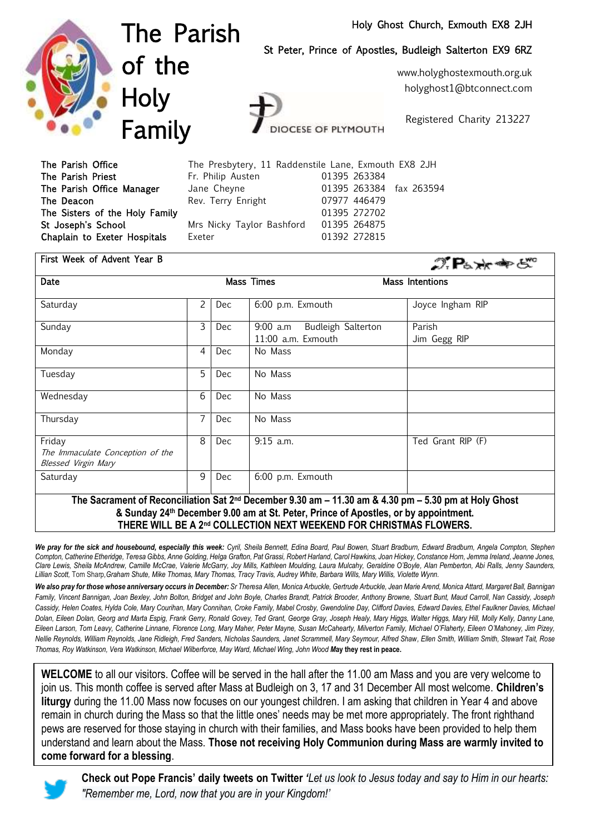#### Holy Ghost Church, Exmouth EX8 2JH

St Peter, Prince of Apostles, Budleigh Salterton EX9 6RZ



The Parish of the **Holy** Family

**DCESE OF PLYMOUTH** 

Registered Charity 213227

www.holyghostexmouth.org.uk holyghost1@btconnect.com

The Parish Office The Parish Priest The Parish Office Manager The Deacon The Sisters of the Holy Family St Joseph's School Chaplain to Exeter Hospitals

|                           | The Presbytery, 11 Raddenstile Lane, Exmouth EX8 2JH |
|---------------------------|------------------------------------------------------|
| Fr. Philip Austen         | 01395 263384                                         |
| Jane Cheyne               | 01395 263384 fax 263594                              |
| Rev. Terry Enright        | 07977 446479                                         |
|                           | 01395 272702                                         |
| Mrs Nicky Taylor Bashford | 01395 264875                                         |
| Exeter                    | 01392 272815                                         |

| First Week of Advent Year B                                                                                  |   |     |                                                   | $\mathcal{D}$ $\mathbf{P}_{b} \times \mathbf{P}_{c}$ |
|--------------------------------------------------------------------------------------------------------------|---|-----|---------------------------------------------------|------------------------------------------------------|
| Date                                                                                                         |   |     | <b>Mass Times</b>                                 | <b>Mass Intentions</b>                               |
| Saturday                                                                                                     | 2 | Dec | 6:00 p.m. Exmouth                                 | Joyce Ingham RIP                                     |
| Sunday                                                                                                       | 3 | Dec | 9:00 a.m Budleigh Salterton<br>11:00 a.m. Exmouth | Parish<br>Jim Gegg RIP                               |
| Monday                                                                                                       | 4 | Dec | No Mass                                           |                                                      |
| Tuesday                                                                                                      | 5 | Dec | No Mass                                           |                                                      |
| Wednesday                                                                                                    | 6 | Dec | No Mass                                           |                                                      |
| Thursday                                                                                                     | 7 | Dec | No Mass                                           |                                                      |
| Friday<br>The Immaculate Conception of the<br><b>Blessed Virgin Mary</b>                                     | 8 | Dec | $9:15$ a.m.                                       | Ted Grant RIP (F)                                    |
| Saturday                                                                                                     | 9 | Dec | 6:00 p.m. Exmouth                                 |                                                      |
| The Sacrament of Reconciliation Sat 2nd December 9.30 am $-$ 11.30 am $\&$ 4.30 nm $-$ 5.30 nm at Holy Ghost |   |     |                                                   |                                                      |

**The Sacrament of Reconciliation Sat 2nd December 9.30 am – 11.30 am & 4.30 pm – 5.30 pm at Holy Ghost & Sunday 24th December 9.00 am at St. Peter, Prince of Apostles, or by appointment. THERE WILL BE A 2nd COLLECTION NEXT WEEKEND FOR CHRISTMAS FLOWERS.**

We pray for the sick and housebound, especially this week: Cyril, Sheila Bennett, Edina Board, Paul Bowen, Stuart Bradburn, Edward Bradburn, Angela Compton, Stephen *Compton, Catherine Etheridge, Teresa Gibbs, Anne Golding, Helga Grafton, Pat Grassi, Robert Harland, Carol Hawkins, Joan Hickey, Constance Horn, Jemma Ireland, Jeanne Jones, Clare Lewis, Sheila McAndrew, Camille McCrae, Valerie McGarry, Joy Mills, Kathleen Moulding, Laura Mulcahy, Geraldine O'Boyle, Alan Pemberton, Abi Ralls, Jenny Saunders, Lillian Scott,* Tom Sharp*,Graham Shute, Mike Thomas, Mary Thomas, Tracy Travis, Audrey White, Barbara Wills, Mary Willis, Violette Wynn.*

*We also pray for those whose anniversary occurs in December: Sr Theresa Allen, Monica Arbuckle, Gertrude Arbuckle, Jean Marie Arend, Monica Attard, Margaret Ball, Bannigan*  Family, Vincent Bannigan, Joan Bexley, John Bolton, Bridget and John Boyle, Charles Brandt, Patrick Brooder, Anthony Browne, Stuart Bunt, Maud Carroll, Nan Cassidy, Joseph *Cassidy, Helen Coates, Hylda Cole, Mary Courihan, Mary Connihan, Croke Family, Mabel Crosby, Gwendoline Day, Clifford Davies, Edward Davies, Ethel Faulkner Davies, Michael Dolan, Eileen Dolan, Georg and Marta Espig, Frank Gerry, Ronald Govey, Ted Grant, George Gray, Joseph Healy, Mary Higgs, Walter Higgs, Mary Hill, Molly Kelly, Danny Lane, Eileen Larson, Tom Leavy, Catherine Linnane, Florence Long, Mary Maher, Peter Mayne, Susan McCahearty, Milverton Family, Michael O'Flaherty, Eileen O'Mahoney, Jim Pizey, Nellie Reynolds, William Reynolds, Jane Ridleigh, Fred Sanders, Nicholas Saunders, Janet Scrammell, Mary Seymour, Alfred Shaw, Ellen Smith, William Smith, Stewart Tait, Rose Thomas, Roy Watkinson, Vera Watkinson, Michael Wilberforce, May Ward, Michael Wing, John Wood M***ay they rest in peace.**

**WELCOME** to all our visitors. Coffee will be served in the hall after the 11.00 am Mass and you are very welcome to join us. This month coffee is served after Mass at Budleigh on 3, 17 and 31 December All most welcome. **Children's liturgy** during the 11.00 Mass now focuses on our youngest children. I am asking that children in Year 4 and above remain in church during the Mass so that the little ones' needs may be met more appropriately. The front righthand pews are reserved for those staying in church with their families, and Mass books have been provided to help them understand and learn about the Mass. **Those not receiving Holy Communion during Mass are warmly invited to come forward for a blessing**.



**Check out Pope Francis' daily tweets on Twitter** *'Let us look to Jesus today and say to Him in our hearts: "Remember me, Lord, now that you are in your Kingdom!'*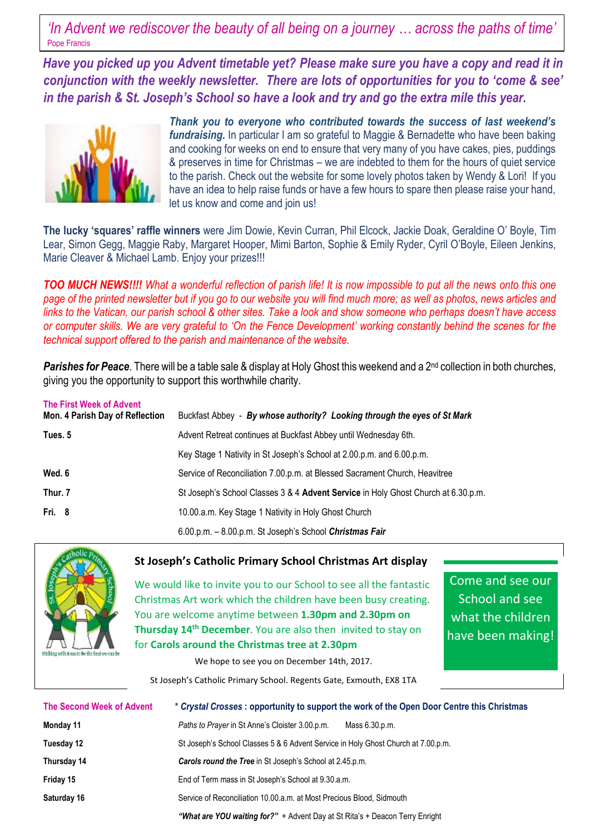*'In Advent we rediscover the beauty of all being on a journey … across the paths of time'*  Pope Francis

 *Have you picked up you Advent timetable yet? Please make sure you have a copy and read it in conjunction with the weekly newsletter. There are lots of opportunities for you to 'come & see' in the parish & St. Joseph's School so have a look and try and go the extra mile this year.*



*Thank you to everyone who contributed towards the success of last weekend's fundraising.* In particular I am so grateful to Maggie & Bernadette who have been baking and cooking for weeks on end to ensure that very many of you have cakes, pies, puddings & preserves in time for Christmas – we are indebted to them for the hours of quiet service to the parish. Check out the website for some lovely photos taken by Wendy & Lori! If you have an idea to help raise funds or have a few hours to spare then please raise your hand, let us know and come and join us!

**The lucky 'squares' raffle winners** were Jim Dowie, Kevin Curran, Phil Elcock, Jackie Doak, Geraldine O' Boyle, Tim Lear, Simon Gegg, Maggie Raby, Margaret Hooper, Mimi Barton, Sophie & Emily Ryder, Cyril O'Boyle, Eileen Jenkins, Marie Cleaver & Michael Lamb. Enjoy your prizes!!!

*TOO MUCH NEWS!!!! What a wonderful reflection of parish life! It is now impossible to put all the news onto this one page of the printed newsletter but if you go to our website you will find much more; as well as photos, news articles and links to the Vatican, our parish school & other sites. Take a look and show someone who perhaps doesn't have access or computer skills. We are very grateful to 'On the Fence Development' working constantly behind the scenes for the technical support offered to the parish and maintenance of the website.*

**Parishes for Peace**. There will be a table sale & display at Holy Ghost this weekend and a 2<sup>nd</sup> collection in both churches, giving you the opportunity to support this worthwhile charity.

| The First Week of Advent<br>Mon. 4 Parish Day of Reflection | Buckfast Abbey - By whose authority? Looking through the eyes of St Mark          |
|-------------------------------------------------------------|-----------------------------------------------------------------------------------|
| Tues. 5                                                     | Advent Retreat continues at Buckfast Abbey until Wednesday 6th.                   |
|                                                             | Key Stage 1 Nativity in St Joseph's School at 2.00 p.m. and 6.00 p.m.             |
| Wed, 6                                                      | Service of Reconciliation 7.00.p.m. at Blessed Sacrament Church, Heavitree        |
| Thur. 7                                                     | St Joseph's School Classes 3 & 4 Advent Service in Holy Ghost Church at 6.30.p.m. |
| Fri. 8                                                      | 10.00.a.m. Key Stage 1 Nativity in Holy Ghost Church                              |
|                                                             | 6.00.p.m. - 8.00.p.m. St Joseph's School Christmas Fair                           |



### **St Joseph's Catholic Primary School Christmas Art display**

We would like to invite you to our School to see all the fantastic Christmas Art work which the children have been busy creating. You are welcome anytime between **1.30pm and 2.30pm on Thursday 14th December**. You are also then invited to stay on for **Carols around the Christmas tree at 2.30pm**

Come and see our School and see what the children have been making!

We hope to see you on December 14th, 2017.

St Joseph's Catholic Primary School. Regents Gate, Exmouth, EX8 1TA

| <b>The Second Week of Advent</b> | * Crystal Crosses: opportunity to support the work of the Open Door Centre this Christmas |
|----------------------------------|-------------------------------------------------------------------------------------------|
| Monday 11                        | Paths to Prayer in St Anne's Cloister 3.00.p.m.<br>Mass 6.30.p.m.                         |
| Tuesday 12                       | St Joseph's School Classes 5 & 6 Advent Service in Holy Ghost Church at 7.00.p.m.         |
| Thursday 14                      | <b>Carols round the Tree</b> in St Joseph's School at 2.45.p.m.                           |
| Friday 15                        | End of Term mass in St Joseph's School at 9.30.a.m.                                       |
| Saturday 16                      | Service of Reconciliation 10.00 a.m. at Most Precious Blood, Sidmouth                     |
|                                  | "What are YOU waiting for?" + Advent Day at St Rita's + Deacon Terry Enright              |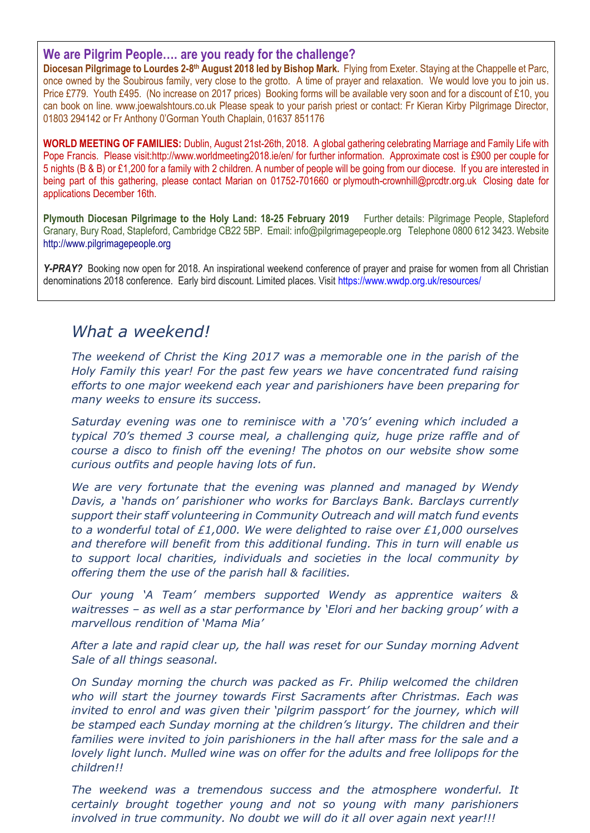## **We are Pilgrim People…. are you ready for the challenge?**

Diocesan Pilgrimage to Lourdes 2-8<sup>th</sup> August 2018 led by Bishop Mark. Flying from Exeter. Staying at the Chappelle et Parc, once owned by the Soubirous family, very close to the grotto. A time of prayer and relaxation. We would love you to join us. Price £779. Youth £495. (No increase on 2017 prices) Booking forms will be available very soon and for a discount of £10, you can book on line. [www.joewalshtours.co.uk](http://www.joewalshtours.co.uk/) Please speak to your parish priest or contact: Fr Kieran Kirby Pilgrimage Director, 01803 294142 or Fr Anthony 0'Gorman Youth Chaplain, 01637 851176

**WORLD MEETING OF FAMILIES:** Dublin, August 21st-26th, 2018. A global gathering celebrating Marriage and Family Life with Pope Francis. Please visit[:http://www.worldmeeting2018.ie/en/](http://www.worldmeeting2018.ie/en/) for further information. Approximate cost is £900 per couple for 5 nights (B & B) or £1,200 for a family with 2 children. A number of people will be going from our diocese. If you are interested in being part of this gathering, please contact Marian on 01752-701660 or [plymouth-crownhill@prcdtr.org.uk](mailto:plymouth-crownhill@prcdtr.org.uk) Closing date for applications December 16th.

**Plymouth Diocesan Pilgrimage to the Holy Land: 18-25 February 2019** Further details: Pilgrimage People, Stapleford Granary, Bury Road, Stapleford, Cambridge CB22 5BP. Email: [info@pilgrimagepeople.org](mailto:info@pilgrimagepeople.org) Telephone 0800 612 3423. Website [http://www.pilgrimagepeople.org](http://www.pilgrimagepeople.org/)

*Y-PRAY?* Booking now open for 2018. An inspirational weekend conference of prayer and praise for women from all Christian denominations 2018 conference. Early bird discount. Limited places. Visit<https://www.wwdp.org.uk/resources/>

## *What a weekend!*

*The weekend of Christ the King 2017 was a memorable one in the parish of the Holy Family this year! For the past few years we have concentrated fund raising efforts to one major weekend each year and parishioners have been preparing for many weeks to ensure its success.*

*Saturday evening was one to reminisce with a '70's' evening which included a typical 70's themed 3 course meal, a challenging quiz, huge prize raffle and of course a disco to finish off the evening! The photos on our website show some curious outfits and people having lots of fun.*

*We are very fortunate that the evening was planned and managed by Wendy Davis, a 'hands on' parishioner who works for Barclays Bank. Barclays currently support their staff volunteering in Community Outreach and will match fund events to a wonderful total of £1,000. We were delighted to raise over £1,000 ourselves and therefore will benefit from this additional funding. This in turn will enable us to support local charities, individuals and societies in the local community by offering them the use of the parish hall & facilities.*

*Our young 'A Team' members supported Wendy as apprentice waiters & waitresses – as well as a star performance by 'Elori and her backing group' with a marvellous rendition of 'Mama Mia'*

*After a late and rapid clear up, the hall was reset for our Sunday morning Advent Sale of all things seasonal.* 

*On Sunday morning the church was packed as Fr. Philip welcomed the children who will start the journey towards First Sacraments after Christmas. Each was invited to enrol and was given their 'pilgrim passport' for the journey, which will be stamped each Sunday morning at the children's liturgy. The children and their families were invited to join parishioners in the hall after mass for the sale and a lovely light lunch. Mulled wine was on offer for the adults and free lollipops for the children!!*

*The weekend was a tremendous success and the atmosphere wonderful. It certainly brought together young and not so young with many parishioners involved in true community. No doubt we will do it all over again next year!!!*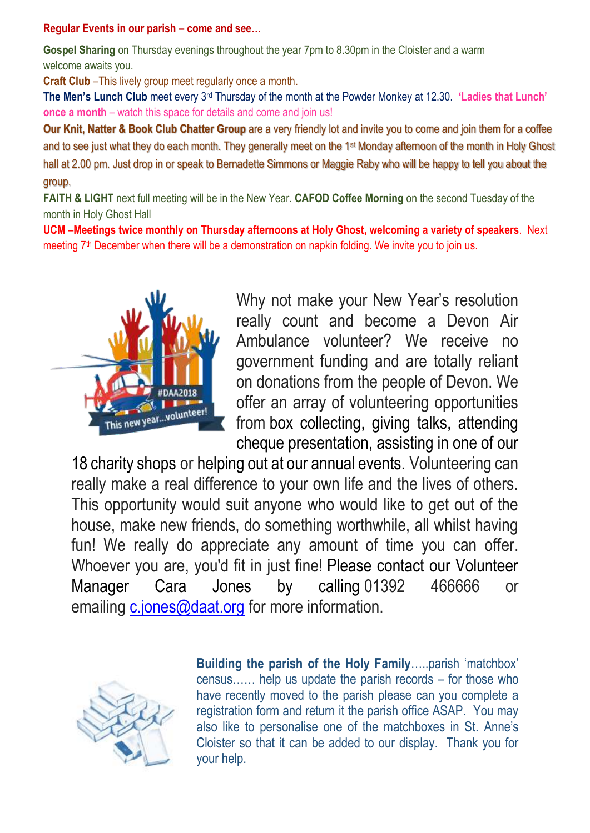## **Regular Events in our parish – come and see…**

**Gospel Sharing** on Thursday evenings throughout the year 7pm to 8.30pm in the Cloister and a warm welcome awaits you.

**Craft Club** –This lively group meet regularly once a month.

**The Men's Lunch Club** meet every 3rd Thursday of the month at the Powder Monkey at 12.30. **'Ladies that Lunch' once a month** – watch this space for details and come and join us!

**Our Knit, Natter & Book Club Chatter Group** are a very friendly lot and invite you to come and join them for a coffee and to see just what they do each month. They generally meet on the 1st Monday afternoon of the month in Holy Ghost hall at 2.00 pm. Just drop in or speak to Bernadette Simmons or Maggie Raby who will be happy to tell you about the group.

**FAITH & LIGHT** next full meeting will be in the New Year. **CAFOD Coffee Morning** on the second Tuesday of the month in Holy Ghost Hall

**UCM –Meetings twice monthly on Thursday afternoons at Holy Ghost, welcoming a variety of speakers**. Next meeting 7<sup>th</sup> December when there will be a demonstration on napkin folding. We invite you to join us.



Why not make your New Year's resolution really count and become a Devon Air Ambulance volunteer? We receive no government funding and are totally reliant on donations from the people of Devon. We offer an array of volunteering opportunities from box collecting, giving talks, attending cheque presentation, assisting in one of our

18 charity shops or helping out at our annual events. Volunteering can really make a real difference to your own life and the lives of others. This opportunity would suit anyone who would like to get out of the house, make new friends, do something worthwhile, all whilst having fun! We really do appreciate any amount of time you can offer. Whoever you are, you'd fit in just fine! Please contact our Volunteer Manager Cara Jones by calling 01392 466666 or emailing [c.jones@daat.org](mailto:c.jones@daat.org) for more information.



**Building the parish of the Holy Family**…..parish 'matchbox' census…… help us update the parish records – for those who have recently moved to the parish please can you complete a registration form and return it the parish office ASAP. You may also like to personalise one of the matchboxes in St. Anne's Cloister so that it can be added to our display. Thank you for your help.